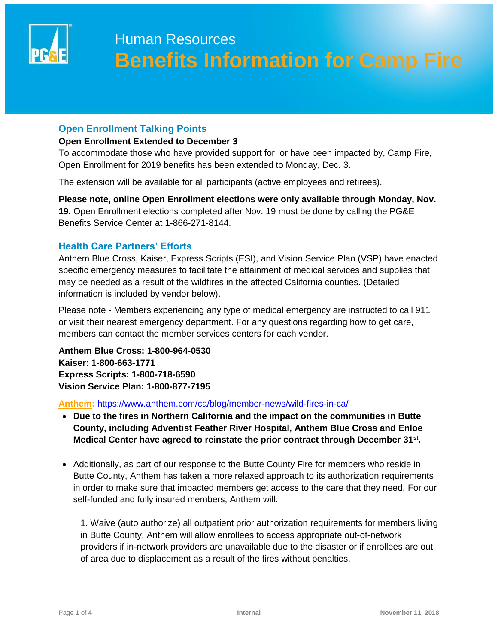

# Human Resources **Benefits Information for Camp Fire**

### **Open Enrollment Talking Points**

#### **Open Enrollment Extended to December 3**

To accommodate those who have provided support for, or have been impacted by, Camp Fire, Open Enrollment for 2019 benefits has been extended to Monday, Dec. 3.

The extension will be available for all participants (active employees and retirees).

**Please note, online Open Enrollment elections were only available through Monday, Nov. 19.** Open Enrollment elections completed after Nov. 19 must be done by calling the PG&E Benefits Service Center at 1-866-271-8144.

#### **Health Care Partners' Efforts**

Anthem Blue Cross, Kaiser, Express Scripts (ESI), and Vision Service Plan (VSP) have enacted specific emergency measures to facilitate the attainment of medical services and supplies that may be needed as a result of the wildfires in the affected California counties. (Detailed information is included by vendor below).

Please note - Members experiencing any type of medical emergency are instructed to call 911 or visit their nearest emergency department. For any questions regarding how to get care, members can contact the member services centers for each vendor.

**Anthem Blue Cross: 1-800-964-0530 Kaiser: 1-800-663-1771 Express Scripts: 1-800-718-6590 Vision Service Plan: 1-800-877-7195**

**Anthem:** [https://www.anthem.com/ca/blog/member-news/wild-fires-in-ca/](https://na01.safelinks.protection.outlook.com/?url=https%3A%2F%2Fwww.anthem.com%2Fca%2Fblog%2Fmember-news%2Fwild-fires-in-ca%2F&data=02%7C01%7CLADK%40pge.com%7C863a0c5ce8414ad89e7608d64e557814%7C44ae661aece641aabc967c2c85a08941%7C0%7C0%7C636782526325950443&sdata=zXT%2BT4%2FZphfJBLL8AIWzKv1Bu%2BAeESs%2FwKaF3DqNwow%3D&reserved=0)

- **Due to the fires in Northern California and the impact on the communities in Butte County, including Adventist Feather River Hospital, Anthem Blue Cross and Enloe Medical Center have agreed to reinstate the prior contract through December 31st .**
- Additionally, as part of our response to the Butte County Fire for members who reside in Butte County, Anthem has taken a more relaxed approach to its authorization requirements in order to make sure that impacted members get access to the care that they need. For our self-funded and fully insured members, Anthem will:

1. Waive (auto authorize) all outpatient prior authorization requirements for members living in Butte County. Anthem will allow enrollees to access appropriate out-of-network providers if in-network providers are unavailable due to the disaster or if enrollees are out of area due to displacement as a result of the fires without penalties.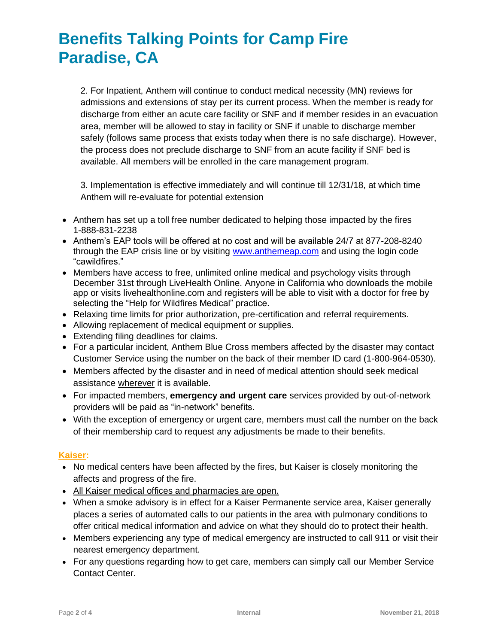## **Benefits Talking Points for Camp Fire Paradise, CA**

2. For Inpatient, Anthem will continue to conduct medical necessity (MN) reviews for admissions and extensions of stay per its current process. When the member is ready for discharge from either an acute care facility or SNF and if member resides in an evacuation area, member will be allowed to stay in facility or SNF if unable to discharge member safely (follows same process that exists today when there is no safe discharge). However, the process does not preclude discharge to SNF from an acute facility if SNF bed is available. All members will be enrolled in the care management program.

3. Implementation is effective immediately and will continue till 12/31/18, at which time Anthem will re-evaluate for potential extension

- Anthem has set up a toll free number dedicated to helping those impacted by the fires 1-888-831-2238
- Anthem's EAP tools will be offered at no cost and will be available 24/7 at 877-208-8240 through the EAP crisis line or by visiting [www.anthemeap.com](https://na01.safelinks.protection.outlook.com/?url=http%3A%2F%2Fwww.anthemeap.com&data=02%7C01%7CLADK%40pge.com%7C863a0c5ce8414ad89e7608d64e557814%7C44ae661aece641aabc967c2c85a08941%7C0%7C0%7C636782526325950443&sdata=bbSfWz3%2BYHuZb5LHsXFd%2F2xbmrkmgOmza66RlPU%2FDwg%3D&reserved=0) and using the login code "cawildfires."
- Members have access to free, unlimited online medical and psychology visits through December 31st through LiveHealth Online. Anyone in California who downloads the mobile app or visits livehealthonline.com and registers will be able to visit with a doctor for free by selecting the "Help for Wildfires Medical" practice.
- Relaxing time limits for prior authorization, pre-certification and referral requirements.
- Allowing replacement of medical equipment or supplies.
- Extending filing deadlines for claims.
- For a particular incident, Anthem Blue Cross members affected by the disaster may contact Customer Service using the number on the back of their member ID card (1-800-964-0530).
- Members affected by the disaster and in need of medical attention should seek medical assistance wherever it is available.
- For impacted members, **emergency and urgent care** services provided by out-of-network providers will be paid as "in-network" benefits.
- With the exception of emergency or urgent care, members must call the number on the back of their membership card to request any adjustments be made to their benefits.

#### **Kaiser:**

- No medical centers have been affected by the fires, but Kaiser is closely monitoring the affects and progress of the fire.
- All Kaiser medical offices and pharmacies are open.
- When a smoke advisory is in effect for a Kaiser Permanente service area, Kaiser generally places a series of automated calls to our patients in the area with pulmonary conditions to offer critical medical information and advice on what they should do to protect their health.
- Members experiencing any type of medical emergency are instructed to call 911 or visit their nearest emergency department.
- For any questions regarding how to get care, members can simply call our Member Service Contact Center.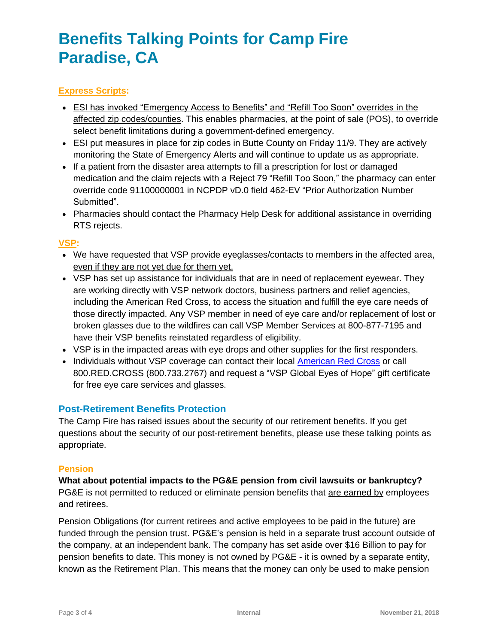## **Benefits Talking Points for Camp Fire Paradise, CA**

#### **Express Scripts:**

- ESI has invoked "Emergency Access to Benefits" and "Refill Too Soon" overrides in the affected zip codes/counties. This enables pharmacies, at the point of sale (POS), to override select benefit limitations during a government-defined emergency.
- ESI put measures in place for zip codes in Butte County on Friday 11/9. They are actively monitoring the State of Emergency Alerts and will continue to update us as appropriate.
- If a patient from the disaster area attempts to fill a prescription for lost or damaged medication and the claim rejects with a Reject 79 "Refill Too Soon," the pharmacy can enter override code 91100000001 in NCPDP vD.0 field 462-EV "Prior Authorization Number Submitted".
- Pharmacies should contact the Pharmacy Help Desk for additional assistance in overriding RTS rejects.

#### **VSP:**

- We have requested that VSP provide eyeglasses/contacts to members in the affected area, even if they are not yet due for them yet.
- VSP has set up assistance for individuals that are in need of replacement eyewear. They are working directly with VSP network doctors, business partners and relief agencies, including the American Red Cross, to access the situation and fulfill the eye care needs of those directly impacted. Any VSP member in need of eye care and/or replacement of lost or broken glasses due to the wildfires can call VSP Member Services at 800-877-7195 and have their VSP benefits reinstated regardless of eligibility.
- VSP is in the impacted areas with eye drops and other supplies for the first responders.
- Individuals without VSP coverage can contact their local [American Red Cross](https://urldefense.proofpoint.com/v2/url?u=https-3A__www.facebook.com_redcross&d=DwMFAg&c=Oo_p3A70ldcR7Q3zeyon7Q&r=eqxDSGs6H-JxkKQmFwLInA&m=X2YZWQNztjMZ2GsE_qIha2OPR_2vgoGi33XGVXybEY0&s=7wZcCN8wmynaE3so-iHqOKMFslXvkszC84u1NuU3J60&e=) or call 800.RED.CROSS (800.733.2767) and request a "VSP Global Eyes of Hope" gift certificate for free eye care services and glasses.

### **Post-Retirement Benefits Protection**

The Camp Fire has raised issues about the security of our retirement benefits. If you get questions about the security of our post-retirement benefits, please use these talking points as appropriate.

#### **Pension**

**What about potential impacts to the PG&E pension from civil lawsuits or bankruptcy?**  PG&E is not permitted to reduced or eliminate pension benefits that are earned by employees and retirees.

Pension Obligations (for current retirees and active employees to be paid in the future) are funded through the pension trust. PG&E's pension is held in a separate trust account outside of the company, at an independent bank. The company has set aside over \$16 Billion to pay for pension benefits to date. This money is not owned by PG&E - it is owned by a separate entity, known as the Retirement Plan. This means that the money can only be used to make pension